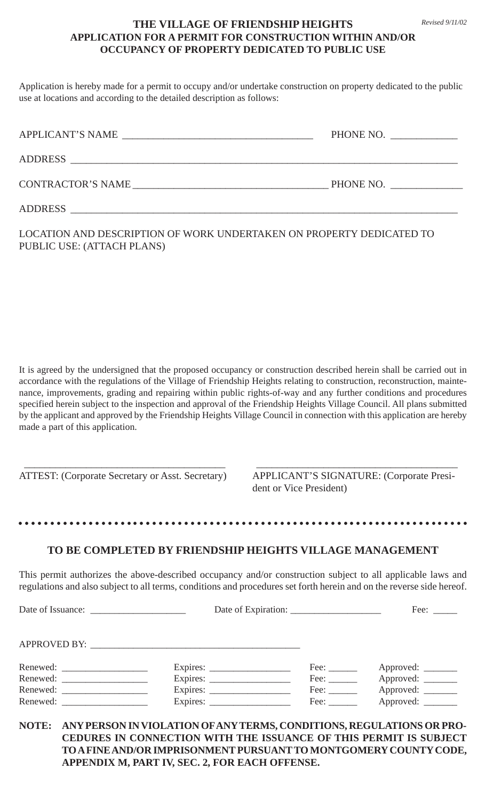## **THE VILLAGE OF FRIENDSHIP HEIGHTS APPLICATION FOR A PERMIT FOR CONSTRUCTION WITHIN AND/OR OCCUPANCY OF PROPERTY DEDICATED TO PUBLIC USE**

Application is hereby made for a permit to occupy and/or undertake construction on property dedicated to the public use at locations and according to the detailed description as follows:

| APPLICANT'S NAME<br><u> 1989 - John Stein, Amerikaansk politiker († 1908)</u> | PHONE NO. |
|-------------------------------------------------------------------------------|-----------|
| ADDRESS                                                                       |           |
| CONTRACTOR'S NAME                                                             | PHONE NO. |
| <b>ADDRESS</b>                                                                |           |

LOCATION AND DESCRIPTION OF WORK UNDERTAKEN ON PROPERTY DEDICATED TO PUBLIC USE: (ATTACH PLANS)

It is agreed by the undersigned that the proposed occupancy or construction described herein shall be carried out in accordance with the regulations of the Village of Friendship Heights relating to construction, reconstruction, maintenance, improvements, grading and repairing within public rights-of-way and any further conditions and procedures specified herein subject to the inspection and approval of the Friendship Heights Village Council. All plans submitted by the applicant and approved by the Friendship Heights Village Council in connection with this application are hereby made a part of this application.

\_\_\_\_\_\_\_\_\_\_\_\_\_\_\_\_\_\_\_\_\_\_\_\_\_\_\_\_\_\_\_\_\_\_\_\_\_\_\_ \_\_\_\_\_\_\_\_\_\_\_\_\_\_\_\_\_\_\_\_\_\_\_\_\_\_\_\_\_\_\_\_\_\_\_\_\_\_\_ ATTEST: (Corporate Secretary or Asst. Secretary) APPLICANT'S SIGNATURE: (Corporate President or Vice President)

## **TO BE COMPLETED BY FRIENDSHIP HEIGHTS VILLAGE MANAGEMENT**

aaaaaaaaaaaaaaaaaaaaaaaaaaaaaaaaaaaaaaaaaaaaaaa aaaaaaaaaaaaaaaaaaaaaaaa

This permit authorizes the above-described occupancy and/or construction subject to all applicable laws and regulations and also subject to all terms, conditions and procedures set forth herein and on the reverse side hereof.

Date of Issuance: \_\_\_\_\_\_\_\_\_\_\_\_\_\_\_\_\_\_\_\_ Date of Expiration: \_\_\_\_\_\_\_\_\_\_\_\_\_\_\_\_\_\_\_ Fee: \_\_\_\_\_

APPROVED BY:

| Renewed: | Expires: | Fee: | Approved: |
|----------|----------|------|-----------|
| Renewed: | Expires: | Fee: | Approved: |
| Renewed: | Expires: | Fee: | Approved: |
| Renewed: | Expires: | Fee: | Approved: |

**NOTE: ANY PERSON IN VIOLATION OF ANY TERMS, CONDITIONS, REGULATIONS OR PRO-CEDURES IN CONNECTION WITH THE ISSUANCE OF THIS PERMIT IS SUBJECT TO A FINE AND/OR IMPRISONMENT PURSUANT TO MONTGOMERY COUNTY CODE, APPENDIX M, PART IV, SEC. 2, FOR EACH OFFENSE.**